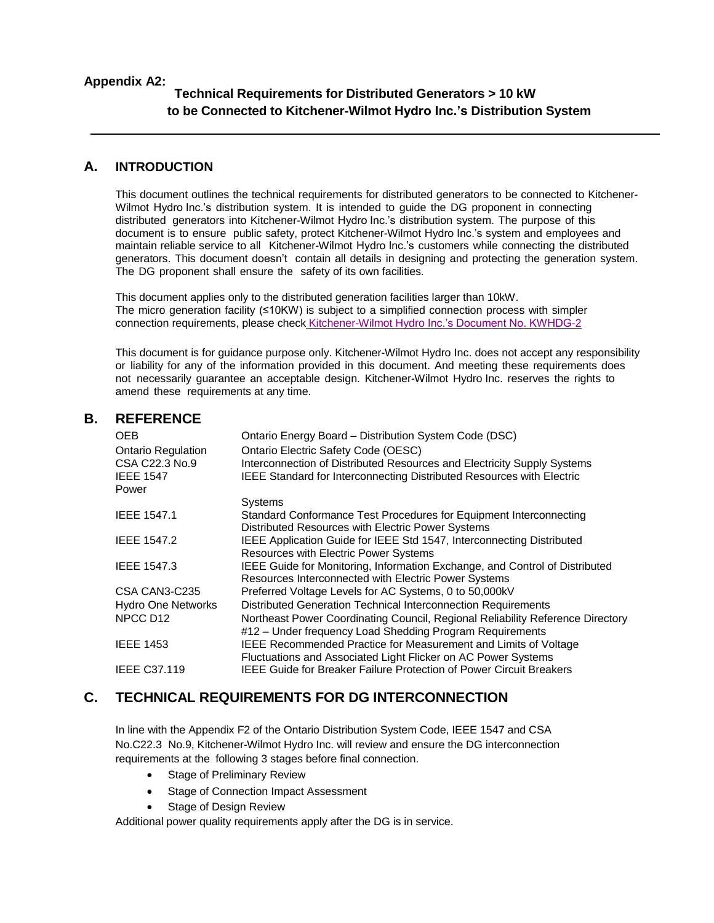#### **Appendix A2:**

## **Technical Requirements for Distributed Generators > 10 kW to be Connected to Kitchener-Wilmot Hydro Inc.'s Distribution System**

### **A. INTRODUCTION**

This document outlines the technical requirements for distributed generators to be connected to Kitchener-Wilmot Hydro Inc.'s distribution system. It is intended to guide the DG proponent in connecting distributed generators into Kitchener-Wilmot Hydro Inc.'s distribution system. The purpose of this document is to ensure public safety, protect Kitchener-Wilmot Hydro Inc.'s system and employees and maintain reliable service to all Kitchener-Wilmot Hydro Inc.'s customers while connecting the distributed generators. This document doesn't contain all details in designing and protecting the generation system. The DG proponent shall ensure the safety of its own facilities.

This document applies only to the distributed generation facilities larger than 10kW. The micro generation facility (≤10KW) is subject to a simplified connection process with simpler connection requirements, please check Kitchener-Wilmot Hydro [Inc.'s Document No. KWHDG-2](https://www.kwhydro.on.ca/en/commercial/resources/Customer_Information_10kW-10MW_complete_package_R4.pdf)

This document is for guidance purpose only. Kitchener-Wilmot Hydro Inc. does not accept any responsibility or liability for any of the information provided in this document. And meeting these requirements does not necessarily guarantee an acceptable design. Kitchener-Wilmot Hydro Inc. reserves the rights to amend these requirements at any time.

#### **B. REFERENCE**

| <b>OEB</b><br><b>Ontario Regulation</b><br>CSA C22.3 No.9<br><b>IEEE 1547</b><br>Power | Ontario Energy Board – Distribution System Code (DSC)<br>Ontario Electric Safety Code (OESC)<br>Interconnection of Distributed Resources and Electricity Supply Systems<br><b>IEEE Standard for Interconnecting Distributed Resources with Electric</b> |
|----------------------------------------------------------------------------------------|---------------------------------------------------------------------------------------------------------------------------------------------------------------------------------------------------------------------------------------------------------|
|                                                                                        | Systems                                                                                                                                                                                                                                                 |
| <b>IEEE 1547.1</b>                                                                     | Standard Conformance Test Procedures for Equipment Interconnecting                                                                                                                                                                                      |
|                                                                                        | Distributed Resources with Electric Power Systems                                                                                                                                                                                                       |
| <b>IEEE 1547.2</b>                                                                     | IEEE Application Guide for IEEE Std 1547, Interconnecting Distributed                                                                                                                                                                                   |
|                                                                                        | Resources with Electric Power Systems                                                                                                                                                                                                                   |
| <b>IEEE 1547.3</b>                                                                     | IEEE Guide for Monitoring, Information Exchange, and Control of Distributed                                                                                                                                                                             |
|                                                                                        | Resources Interconnected with Electric Power Systems                                                                                                                                                                                                    |
| CSA CAN3-C235                                                                          | Preferred Voltage Levels for AC Systems, 0 to 50,000kV                                                                                                                                                                                                  |
| <b>Hydro One Networks</b>                                                              | Distributed Generation Technical Interconnection Requirements                                                                                                                                                                                           |
| NPCC D <sub>12</sub>                                                                   | Northeast Power Coordinating Council, Regional Reliability Reference Directory                                                                                                                                                                          |
|                                                                                        | #12 - Under frequency Load Shedding Program Requirements                                                                                                                                                                                                |
| <b>IEEE 1453</b>                                                                       | IEEE Recommended Practice for Measurement and Limits of Voltage                                                                                                                                                                                         |
|                                                                                        | Fluctuations and Associated Light Flicker on AC Power Systems                                                                                                                                                                                           |
| <b>IEEE C37.119</b>                                                                    | <b>IEEE Guide for Breaker Failure Protection of Power Circuit Breakers</b>                                                                                                                                                                              |
|                                                                                        |                                                                                                                                                                                                                                                         |

### **C. TECHNICAL REQUIREMENTS FOR DG INTERCONNECTION**

In line with the Appendix F2 of the Ontario Distribution System Code, IEEE 1547 and CSA No.C22.3 No.9, Kitchener-Wilmot Hydro Inc. will review and ensure the DG interconnection requirements at the following 3 stages before final connection.

- Stage of Preliminary Review
- Stage of Connection Impact Assessment
- Stage of Design Review

Additional power quality requirements apply after the DG is in service.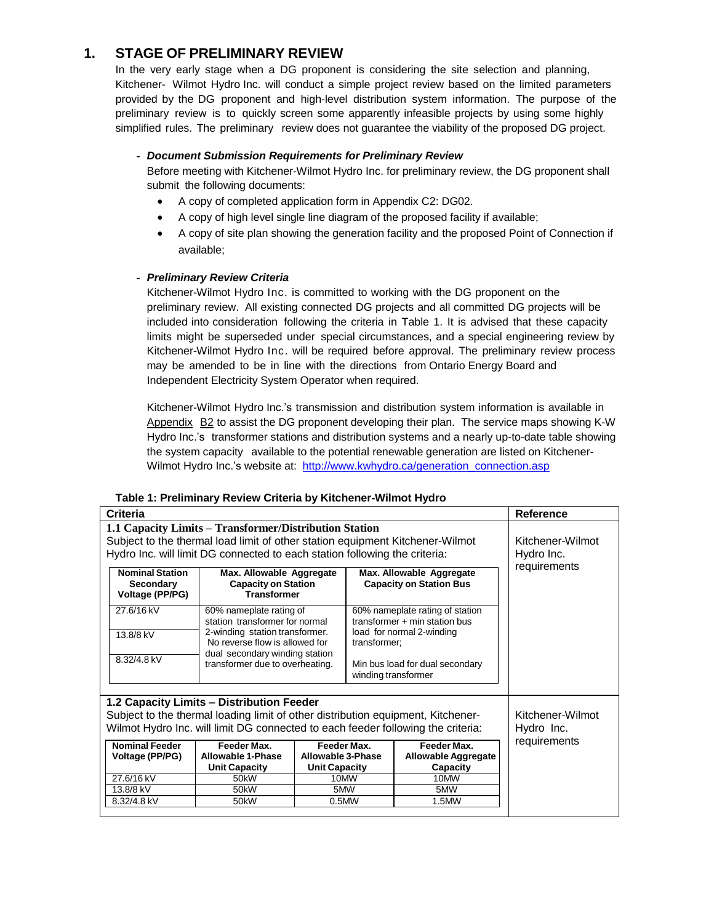## **1. STAGE OF PRELIMINARY REVIEW**

In the very early stage when a DG proponent is considering the site selection and planning, Kitchener- Wilmot Hydro Inc. will conduct a simple project review based on the limited parameters provided by the DG proponent and high-level distribution system information. The purpose of the preliminary review is to quickly screen some apparently infeasible projects by using some highly simplified rules. The preliminary review does not guarantee the viability of the proposed DG project.

#### *- Document Submission Requirements for Preliminary Review*

Before meeting with Kitchener-Wilmot Hydro Inc. for preliminary review, the DG proponent shall submit the following documents:

- A copy of completed application form in Appendix C2: DG02.
- A copy of high level single line diagram of the proposed facility if available;
- A copy of site plan showing the generation facility and the proposed Point of Connection if available;

#### *- Preliminary Review Criteria*

Kitchener-Wilmot Hydro Inc. is committed to working with the DG proponent on the preliminary review. All existing connected DG projects and all committed DG projects will be included into consideration following the criteria in Table 1. It is advised that these capacity limits might be superseded under special circumstances, and a special engineering review by Kitchener-Wilmot Hydro Inc. will be required before approval. The preliminary review process may be amended to be in line with the directions from Ontario Energy Board and Independent Electricity System Operator when required.

Kitchener-Wilmot Hydro Inc.'s transmission and distribution system information is available in Appendix B2 to assist the DG proponent developing their plan. The service maps showing K-W Hydro Inc.'s transformer stations and distribution systems and a nearly up-to-date table showing the system capacity available to the potential renewable generation are listed on KitchenerWilmot Hydro Inc.'s website at: [http://www.kwhydro.ca/generation\\_connection.asp](http://www.kwhydro.ca/generation_connection.asp)

|  |  | Table 1: Preliminary Review Criteria by Kitchener-Wilmot Hydro |  |
|--|--|----------------------------------------------------------------|--|
|  |  |                                                                |  |

| <b>Criteria</b>                                                                                                                                                                                                       |                                                                   |                                                                                                                                                                                     |  |                                                       | <b>Reference</b>               |
|-----------------------------------------------------------------------------------------------------------------------------------------------------------------------------------------------------------------------|-------------------------------------------------------------------|-------------------------------------------------------------------------------------------------------------------------------------------------------------------------------------|--|-------------------------------------------------------|--------------------------------|
| 1.1 Capacity Limits – Transformer/Distribution Station<br>Subject to the thermal load limit of other station equipment Kitchener-Wilmot<br>Hydro Inc. will limit DG connected to each station following the criteria: |                                                                   |                                                                                                                                                                                     |  |                                                       | Kitchener-Wilmot<br>Hydro Inc. |
| <b>Nominal Station</b><br>Max. Allowable Aggregate<br>Max. Allowable Aggregate<br><b>Capacity on Station</b><br><b>Capacity on Station Bus</b><br><b>Secondary</b><br><b>Transformer</b><br>Voltage (PP/PG)           |                                                                   |                                                                                                                                                                                     |  |                                                       | requirements                   |
| 27.6/16 kV<br>13.8/8 kV                                                                                                                                                                                               | 60% nameplate rating of<br>station transformer for normal         | 60% nameplate rating of station<br>transformer $+$ min station bus<br>2-winding station transformer.<br>load for normal 2-winding<br>No reverse flow is allowed for<br>transformer; |  |                                                       |                                |
| 8.32/4.8 kV                                                                                                                                                                                                           | dual secondary winding station<br>transformer due to overheating. | Min bus load for dual secondary<br>winding transformer                                                                                                                              |  |                                                       |                                |
| 1.2 Capacity Limits - Distribution Feeder<br>Subject to the thermal loading limit of other distribution equipment, Kitchener-<br>Wilmot Hydro Inc. will limit DG connected to each feeder following the criteria:     |                                                                   |                                                                                                                                                                                     |  |                                                       | Kitchener-Wilmot<br>Hydro Inc. |
| <b>Nominal Feeder</b><br>Voltage (PP/PG)                                                                                                                                                                              | Feeder Max.<br>Allowable 1-Phase<br><b>Unit Capacity</b>          | Feeder Max.<br>Allowable 3-Phase<br><b>Unit Capacity</b>                                                                                                                            |  | Feeder Max.<br><b>Allowable Aggregate</b><br>Capacity | requirements                   |
| 27.6/16 kV                                                                                                                                                                                                            | 50kW                                                              | 10MW                                                                                                                                                                                |  | 10MW                                                  |                                |
| 13.8/8 kV<br>8.32/4.8 kV                                                                                                                                                                                              | 50 <sub>k</sub> W<br>50 <sub>k</sub> W                            | 5MW<br>0.5MW                                                                                                                                                                        |  | 5MW<br>1.5MW                                          |                                |
|                                                                                                                                                                                                                       |                                                                   |                                                                                                                                                                                     |  |                                                       |                                |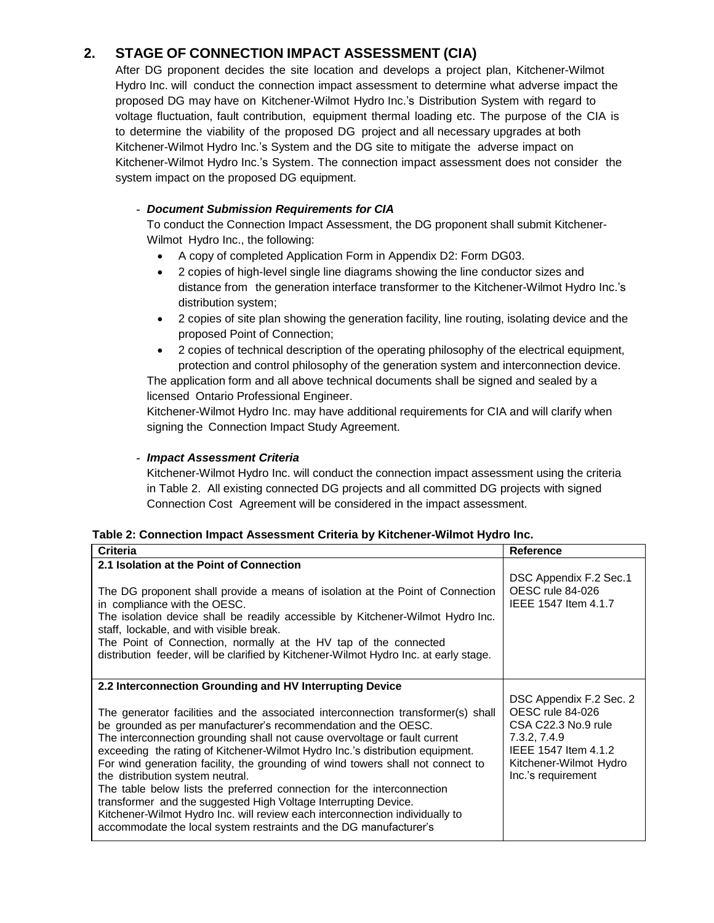# **2. STAGE OF CONNECTION IMPACT ASSESSMENT (CIA)**

After DG proponent decides the site location and develops a project plan, Kitchener-Wilmot Hydro Inc. will conduct the connection impact assessment to determine what adverse impact the proposed DG may have on Kitchener-Wilmot Hydro Inc.'s Distribution System with regard to voltage fluctuation, fault contribution, equipment thermal loading etc. The purpose of the CIA is to determine the viability of the proposed DG project and all necessary upgrades at both Kitchener-Wilmot Hydro Inc.'s System and the DG site to mitigate the adverse impact on Kitchener-Wilmot Hydro Inc.'s System. The connection impact assessment does not consider the system impact on the proposed DG equipment.

### *- Document Submission Requirements for CIA*

To conduct the Connection Impact Assessment, the DG proponent shall submit Kitchener-Wilmot Hydro Inc., the following:

- A copy of completed Application Form in Appendix D2: Form DG03.
- 2 copies of high-level single line diagrams showing the line conductor sizes and distance from the generation interface transformer to the Kitchener-Wilmot Hydro Inc.'s distribution system;
- 2 copies of site plan showing the generation facility, line routing, isolating device and the proposed Point of Connection;
- 2 copies of technical description of the operating philosophy of the electrical equipment, protection and control philosophy of the generation system and interconnection device.

The application form and all above technical documents shall be signed and sealed by a licensed Ontario Professional Engineer.

Kitchener-Wilmot Hydro Inc. may have additional requirements for CIA and will clarify when signing the Connection Impact Study Agreement.

#### *- Impact Assessment Criteria*

Kitchener-Wilmot Hydro Inc. will conduct the connection impact assessment using the criteria in Table 2. All existing connected DG projects and all committed DG projects with signed Connection Cost Agreement will be considered in the impact assessment.

#### **Table 2: Connection Impact Assessment Criteria by Kitchener-Wilmot Hydro Inc.**

| <b>Criteria</b>                                                                                                                                                                                                                                                                                                                                                                                                                                                                                                                                                                                                                                                                                                                            | <b>Reference</b>                                                                                                                                           |
|--------------------------------------------------------------------------------------------------------------------------------------------------------------------------------------------------------------------------------------------------------------------------------------------------------------------------------------------------------------------------------------------------------------------------------------------------------------------------------------------------------------------------------------------------------------------------------------------------------------------------------------------------------------------------------------------------------------------------------------------|------------------------------------------------------------------------------------------------------------------------------------------------------------|
| 2.1 Isolation at the Point of Connection                                                                                                                                                                                                                                                                                                                                                                                                                                                                                                                                                                                                                                                                                                   | DSC Appendix F.2 Sec.1                                                                                                                                     |
| The DG proponent shall provide a means of isolation at the Point of Connection<br>in compliance with the OESC.<br>The isolation device shall be readily accessible by Kitchener-Wilmot Hydro Inc.<br>staff, lockable, and with visible break.<br>The Point of Connection, normally at the HV tap of the connected<br>distribution feeder, will be clarified by Kitchener-Wilmot Hydro Inc. at early stage.                                                                                                                                                                                                                                                                                                                                 | OESC rule 84-026<br>IEEE 1547 Item 4.1.7                                                                                                                   |
| 2.2 Interconnection Grounding and HV Interrupting Device                                                                                                                                                                                                                                                                                                                                                                                                                                                                                                                                                                                                                                                                                   |                                                                                                                                                            |
| The generator facilities and the associated interconnection transformer(s) shall<br>be grounded as per manufacturer's recommendation and the OESC.<br>The interconnection grounding shall not cause overvoltage or fault current<br>exceeding the rating of Kitchener-Wilmot Hydro Inc.'s distribution equipment.<br>For wind generation facility, the grounding of wind towers shall not connect to<br>the distribution system neutral.<br>The table below lists the preferred connection for the interconnection<br>transformer and the suggested High Voltage Interrupting Device.<br>Kitchener-Wilmot Hydro Inc. will review each interconnection individually to<br>accommodate the local system restraints and the DG manufacturer's | DSC Appendix F.2 Sec. 2<br>OESC rule 84-026<br>CSA C22.3 No.9 rule<br>7.3.2, 7.4.9<br>IEEE 1547 Item 4.1.2<br>Kitchener-Wilmot Hydro<br>Inc.'s requirement |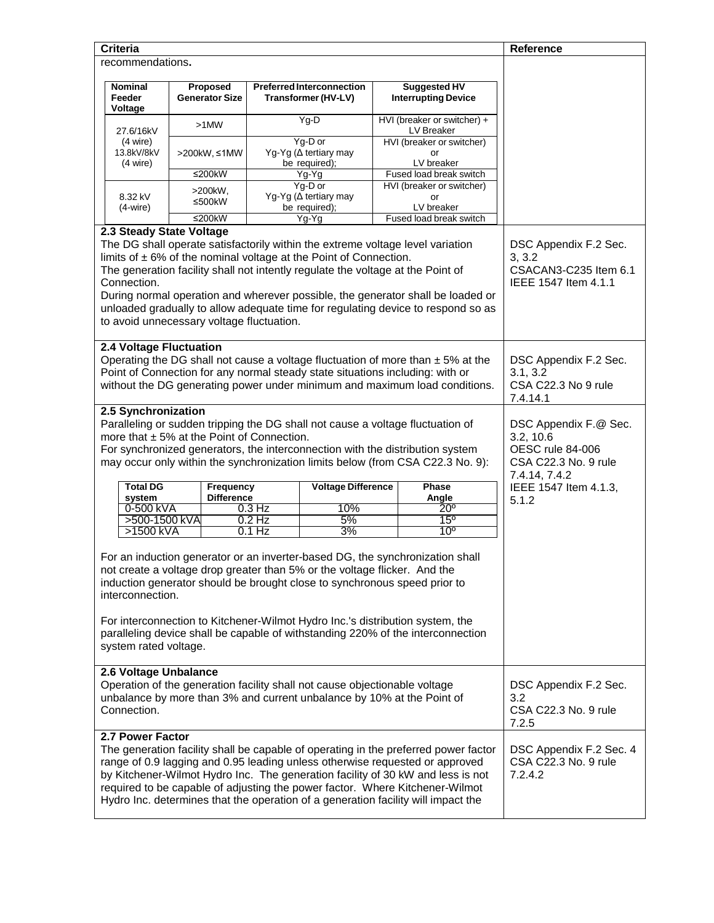| <b>Criteria</b>                                                                                                                                                                                                                                                                                                                                                                                                                                                               |                                                                                                                                                                               |                                                         |                                                   | <b>Reference</b>                                                                                |  |
|-------------------------------------------------------------------------------------------------------------------------------------------------------------------------------------------------------------------------------------------------------------------------------------------------------------------------------------------------------------------------------------------------------------------------------------------------------------------------------|-------------------------------------------------------------------------------------------------------------------------------------------------------------------------------|---------------------------------------------------------|---------------------------------------------------|-------------------------------------------------------------------------------------------------|--|
| recommendations.                                                                                                                                                                                                                                                                                                                                                                                                                                                              |                                                                                                                                                                               |                                                         |                                                   |                                                                                                 |  |
| Nominal<br>Feeder<br>Voltage                                                                                                                                                                                                                                                                                                                                                                                                                                                  | Proposed<br><b>Generator Size</b>                                                                                                                                             | <b>Preferred Interconnection</b><br>Transformer (HV-LV) | <b>Suggested HV</b><br><b>Interrupting Device</b> |                                                                                                 |  |
| 27.6/16kV                                                                                                                                                                                                                                                                                                                                                                                                                                                                     | $>1$ MW                                                                                                                                                                       | Yg-D                                                    | HVI (breaker or switcher) +<br>LV Breaker         |                                                                                                 |  |
| $(4 \text{ wire})$<br>13.8kV/8kV<br>$(4 \text{ wire})$                                                                                                                                                                                                                                                                                                                                                                                                                        | >200kW, ≤1MW                                                                                                                                                                  | Yg-D or<br>Yg-Yg (∆ tertiary may<br>be required);       | HVI (breaker or switcher)<br>or<br>LV breaker     |                                                                                                 |  |
|                                                                                                                                                                                                                                                                                                                                                                                                                                                                               | ≤200 $kW$                                                                                                                                                                     | Yg-Yg                                                   | Fused load break switch                           |                                                                                                 |  |
| 8.32 kV<br>$(4-wire)$                                                                                                                                                                                                                                                                                                                                                                                                                                                         | >200kW,<br>≤500 $kW$                                                                                                                                                          | Yg-D or<br>Yg-Yg (∆ tertiary may<br>be required);       | HVI (breaker or switcher)<br>or<br>LV breaker     |                                                                                                 |  |
|                                                                                                                                                                                                                                                                                                                                                                                                                                                                               | ≤200 $kW$                                                                                                                                                                     | Yg-Yg                                                   | Fused load break switch                           |                                                                                                 |  |
| 2.3 Steady State Voltage                                                                                                                                                                                                                                                                                                                                                                                                                                                      |                                                                                                                                                                               |                                                         |                                                   |                                                                                                 |  |
| The DG shall operate satisfactorily within the extreme voltage level variation<br>limits of $\pm$ 6% of the nominal voltage at the Point of Connection.<br>The generation facility shall not intently regulate the voltage at the Point of<br>Connection.<br>During normal operation and wherever possible, the generator shall be loaded or<br>unloaded gradually to allow adequate time for regulating device to respond so as<br>to avoid unnecessary voltage fluctuation. | DSC Appendix F.2 Sec.<br>3, 3.2<br>CSACAN3-C235 Item 6.1<br>IEEE 1547 Item 4.1.1                                                                                              |                                                         |                                                   |                                                                                                 |  |
| 2.4 Voltage Fluctuation<br>Operating the DG shall not cause a voltage fluctuation of more than $\pm$ 5% at the<br>Point of Connection for any normal steady state situations including: with or<br>without the DG generating power under minimum and maximum load conditions.                                                                                                                                                                                                 | DSC Appendix F.2 Sec.<br>3.1, 3.2<br>CSA C22.3 No 9 rule<br>7.4.14.1                                                                                                          |                                                         |                                                   |                                                                                                 |  |
| 2.5 Synchronization<br>Paralleling or sudden tripping the DG shall not cause a voltage fluctuation of<br>more that $\pm$ 5% at the Point of Connection.<br>For synchronized generators, the interconnection with the distribution system<br>may occur only within the synchronization limits below (from CSA C22.3 No. 9):                                                                                                                                                    |                                                                                                                                                                               |                                                         |                                                   | DSC Appendix F.@ Sec.<br>3.2, 10.6<br>OESC rule 84-006<br>CSA C22.3 No. 9 rule<br>7.4.14, 7.4.2 |  |
| <b>Total DG</b><br>system                                                                                                                                                                                                                                                                                                                                                                                                                                                     | Frequency<br><b>Difference</b>                                                                                                                                                | <b>Voltage Difference</b>                               | Phase<br>Angle                                    | IEEE 1547 Item 4.1.3,<br>5.1.2                                                                  |  |
| 0-500 kVA                                                                                                                                                                                                                                                                                                                                                                                                                                                                     |                                                                                                                                                                               | 10%<br>$0.3$ Hz                                         | $20^{\circ}$                                      |                                                                                                 |  |
| >500-1500 kVA<br>>1500 kVA                                                                                                                                                                                                                                                                                                                                                                                                                                                    |                                                                                                                                                                               | 5%<br>$0.2$ Hz<br>3%<br>$0.1$ Hz                        | $15^{\circ}$<br>10 <sup>o</sup>                   |                                                                                                 |  |
| For an induction generator or an inverter-based DG, the synchronization shall<br>not create a voltage drop greater than 5% or the voltage flicker. And the<br>induction generator should be brought close to synchronous speed prior to<br>interconnection.<br>For interconnection to Kitchener-Wilmot Hydro Inc.'s distribution system, the<br>paralleling device shall be capable of withstanding 220% of the interconnection<br>system rated voltage.                      |                                                                                                                                                                               |                                                         |                                                   |                                                                                                 |  |
| Connection.                                                                                                                                                                                                                                                                                                                                                                                                                                                                   | 2.6 Voltage Unbalance<br>Operation of the generation facility shall not cause objectionable voltage<br>unbalance by more than 3% and current unbalance by 10% at the Point of |                                                         |                                                   |                                                                                                 |  |
| 2.7 Power Factor<br>The generation facility shall be capable of operating in the preferred power factor<br>range of 0.9 lagging and 0.95 leading unless otherwise requested or approved<br>by Kitchener-Wilmot Hydro Inc. The generation facility of 30 kW and less is not<br>required to be capable of adjusting the power factor. Where Kitchener-Wilmot<br>Hydro Inc. determines that the operation of a generation facility will impact the                               |                                                                                                                                                                               |                                                         |                                                   | DSC Appendix F.2 Sec. 4<br>CSA C22.3 No. 9 rule<br>7.2.4.2                                      |  |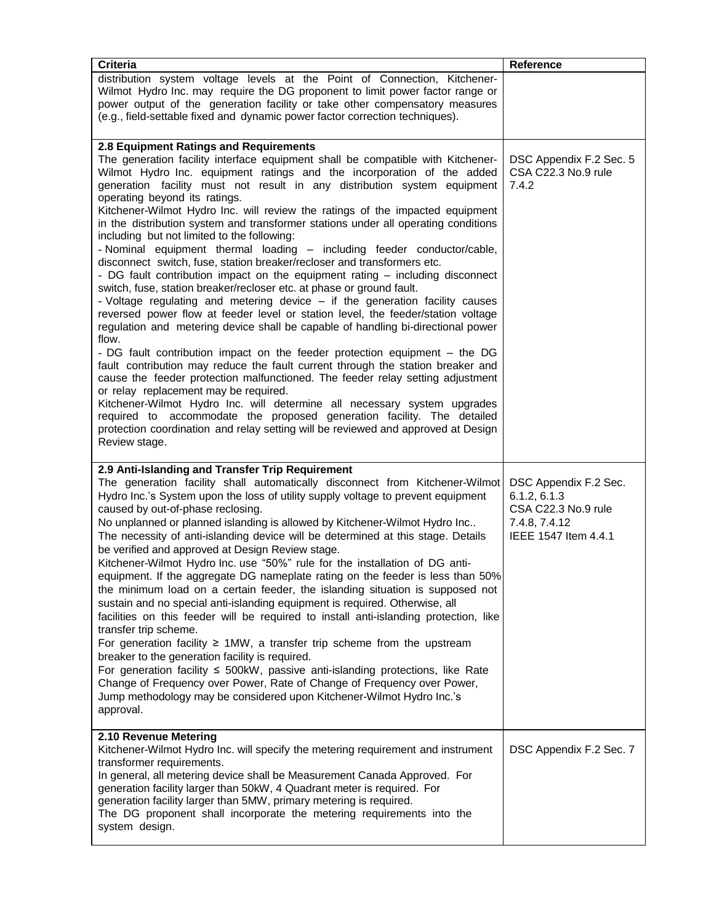| <b>Criteria</b>                                                                                                                                                                                                                                                                                                                                                                                                                                                                                                                                                                                                                                                                                                                                                                                                                                                                                                                                                                                                                                                                                                                                                                                                                                                                                                                                                                                                                                                                                                                                                                                                                                                | Reference                                                                                             |
|----------------------------------------------------------------------------------------------------------------------------------------------------------------------------------------------------------------------------------------------------------------------------------------------------------------------------------------------------------------------------------------------------------------------------------------------------------------------------------------------------------------------------------------------------------------------------------------------------------------------------------------------------------------------------------------------------------------------------------------------------------------------------------------------------------------------------------------------------------------------------------------------------------------------------------------------------------------------------------------------------------------------------------------------------------------------------------------------------------------------------------------------------------------------------------------------------------------------------------------------------------------------------------------------------------------------------------------------------------------------------------------------------------------------------------------------------------------------------------------------------------------------------------------------------------------------------------------------------------------------------------------------------------------|-------------------------------------------------------------------------------------------------------|
| distribution system voltage levels at the Point of Connection, Kitchener-<br>Wilmot Hydro Inc. may require the DG proponent to limit power factor range or<br>power output of the generation facility or take other compensatory measures                                                                                                                                                                                                                                                                                                                                                                                                                                                                                                                                                                                                                                                                                                                                                                                                                                                                                                                                                                                                                                                                                                                                                                                                                                                                                                                                                                                                                      |                                                                                                       |
| (e.g., field-settable fixed and dynamic power factor correction techniques).                                                                                                                                                                                                                                                                                                                                                                                                                                                                                                                                                                                                                                                                                                                                                                                                                                                                                                                                                                                                                                                                                                                                                                                                                                                                                                                                                                                                                                                                                                                                                                                   |                                                                                                       |
| 2.8 Equipment Ratings and Requirements<br>The generation facility interface equipment shall be compatible with Kitchener-<br>Wilmot Hydro Inc. equipment ratings and the incorporation of the added<br>generation facility must not result in any distribution system equipment<br>operating beyond its ratings.<br>Kitchener-Wilmot Hydro Inc. will review the ratings of the impacted equipment<br>in the distribution system and transformer stations under all operating conditions<br>including but not limited to the following:<br>- Nominal equipment thermal loading - including feeder conductor/cable,<br>disconnect switch, fuse, station breaker/recloser and transformers etc.<br>- DG fault contribution impact on the equipment rating – including disconnect<br>switch, fuse, station breaker/recloser etc. at phase or ground fault.<br>- Voltage regulating and metering device - if the generation facility causes<br>reversed power flow at feeder level or station level, the feeder/station voltage<br>regulation and metering device shall be capable of handling bi-directional power<br>flow.<br>- DG fault contribution impact on the feeder protection equipment - the DG<br>fault contribution may reduce the fault current through the station breaker and<br>cause the feeder protection malfunctioned. The feeder relay setting adjustment<br>or relay replacement may be required.<br>Kitchener-Wilmot Hydro Inc. will determine all necessary system upgrades<br>required to accommodate the proposed generation facility. The detailed<br>protection coordination and relay setting will be reviewed and approved at Design | DSC Appendix F.2 Sec. 5<br>CSA C22.3 No.9 rule<br>7.4.2                                               |
| Review stage.                                                                                                                                                                                                                                                                                                                                                                                                                                                                                                                                                                                                                                                                                                                                                                                                                                                                                                                                                                                                                                                                                                                                                                                                                                                                                                                                                                                                                                                                                                                                                                                                                                                  |                                                                                                       |
| 2.9 Anti-Islanding and Transfer Trip Requirement<br>The generation facility shall automatically disconnect from Kitchener-Wilmot<br>Hydro Inc.'s System upon the loss of utility supply voltage to prevent equipment<br>caused by out-of-phase reclosing.<br>No unplanned or planned islanding is allowed by Kitchener-Wilmot Hydro Inc<br>The necessity of anti-islanding device will be determined at this stage. Details<br>be verified and approved at Design Review stage.<br>Kitchener-Wilmot Hydro Inc. use "50%" rule for the installation of DG anti-<br>equipment. If the aggregate DG nameplate rating on the feeder is less than 50%<br>the minimum load on a certain feeder, the islanding situation is supposed not<br>sustain and no special anti-islanding equipment is required. Otherwise, all<br>facilities on this feeder will be required to install anti-islanding protection, like<br>transfer trip scheme.<br>For generation facility $\geq 1$ MW, a transfer trip scheme from the upstream<br>breaker to the generation facility is required.<br>For generation facility $\leq 500$ kW, passive anti-islanding protections, like Rate<br>Change of Frequency over Power, Rate of Change of Frequency over Power,<br>Jump methodology may be considered upon Kitchener-Wilmot Hydro Inc.'s<br>approval.                                                                                                                                                                                                                                                                                                                                | DSC Appendix F.2 Sec.<br>6.1.2, 6.1.3<br>CSA C22.3 No.9 rule<br>7.4.8, 7.4.12<br>IEEE 1547 Item 4.4.1 |
| 2.10 Revenue Metering<br>Kitchener-Wilmot Hydro Inc. will specify the metering requirement and instrument<br>transformer requirements.<br>In general, all metering device shall be Measurement Canada Approved. For<br>generation facility larger than 50kW, 4 Quadrant meter is required. For<br>generation facility larger than 5MW, primary metering is required.<br>The DG proponent shall incorporate the metering requirements into the<br>system design.                                                                                                                                                                                                                                                                                                                                                                                                                                                                                                                                                                                                                                                                                                                                                                                                                                                                                                                                                                                                                                                                                                                                                                                                | DSC Appendix F.2 Sec. 7                                                                               |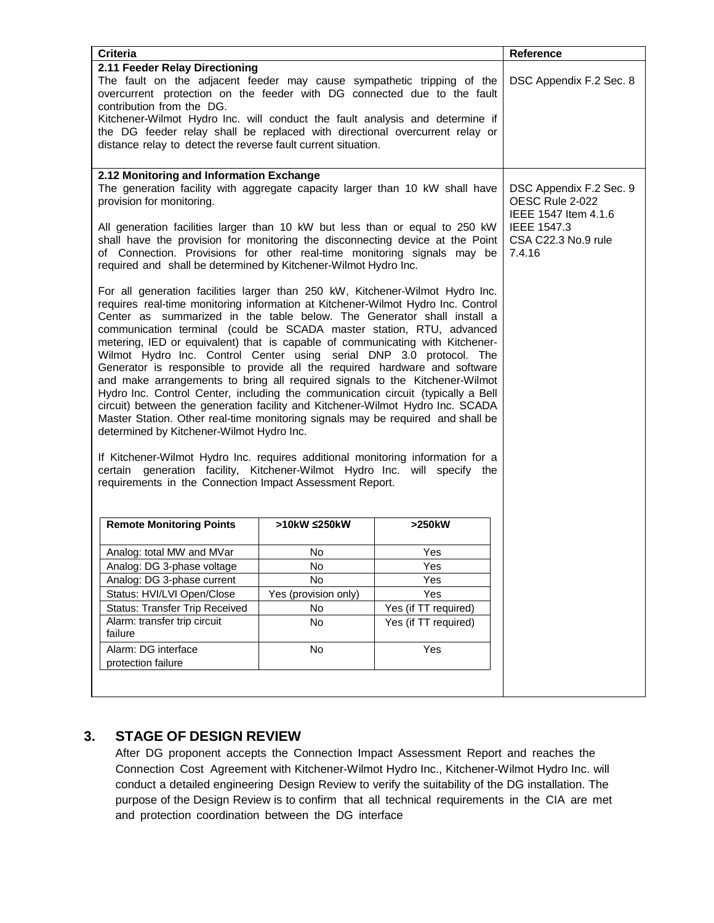| <b>Criteria</b>                                                                                                                                                                                                                                                                                                                                                                                                                                                                                                                                                                                                                                                                                                                                                                                                                                                                                                                                                                                                                                                                                                |                                                                    |                                              | Reference               |
|----------------------------------------------------------------------------------------------------------------------------------------------------------------------------------------------------------------------------------------------------------------------------------------------------------------------------------------------------------------------------------------------------------------------------------------------------------------------------------------------------------------------------------------------------------------------------------------------------------------------------------------------------------------------------------------------------------------------------------------------------------------------------------------------------------------------------------------------------------------------------------------------------------------------------------------------------------------------------------------------------------------------------------------------------------------------------------------------------------------|--------------------------------------------------------------------|----------------------------------------------|-------------------------|
| 2.11 Feeder Relay Directioning<br>The fault on the adjacent feeder may cause sympathetic tripping of the<br>overcurrent protection on the feeder with DG connected due to the fault<br>contribution from the DG.<br>Kitchener-Wilmot Hydro Inc. will conduct the fault analysis and determine if<br>the DG feeder relay shall be replaced with directional overcurrent relay or<br>distance relay to detect the reverse fault current situation.                                                                                                                                                                                                                                                                                                                                                                                                                                                                                                                                                                                                                                                               |                                                                    |                                              | DSC Appendix F.2 Sec. 8 |
| 2.12 Monitoring and Information Exchange                                                                                                                                                                                                                                                                                                                                                                                                                                                                                                                                                                                                                                                                                                                                                                                                                                                                                                                                                                                                                                                                       |                                                                    |                                              |                         |
| The generation facility with aggregate capacity larger than 10 kW shall have<br>provision for monitoring.                                                                                                                                                                                                                                                                                                                                                                                                                                                                                                                                                                                                                                                                                                                                                                                                                                                                                                                                                                                                      | DSC Appendix F.2 Sec. 9<br>OESC Rule 2-022<br>IEEE 1547 Item 4.1.6 |                                              |                         |
| All generation facilities larger than 10 kW but less than or equal to 250 kW<br>shall have the provision for monitoring the disconnecting device at the Point<br>of Connection. Provisions for other real-time monitoring signals may be<br>required and shall be determined by Kitchener-Wilmot Hydro Inc.                                                                                                                                                                                                                                                                                                                                                                                                                                                                                                                                                                                                                                                                                                                                                                                                    |                                                                    | IEEE 1547.3<br>CSA C22.3 No.9 rule<br>7.4.16 |                         |
| For all generation facilities larger than 250 kW, Kitchener-Wilmot Hydro Inc.<br>requires real-time monitoring information at Kitchener-Wilmot Hydro Inc. Control<br>Center as summarized in the table below. The Generator shall install a<br>communication terminal (could be SCADA master station, RTU, advanced<br>metering, IED or equivalent) that is capable of communicating with Kitchener-<br>Wilmot Hydro Inc. Control Center using serial DNP 3.0 protocol. The<br>Generator is responsible to provide all the required hardware and software<br>and make arrangements to bring all required signals to the Kitchener-Wilmot<br>Hydro Inc. Control Center, including the communication circuit (typically a Bell<br>circuit) between the generation facility and Kitchener-Wilmot Hydro Inc. SCADA<br>Master Station. Other real-time monitoring signals may be required and shall be<br>determined by Kitchener-Wilmot Hydro Inc.<br>If Kitchener-Wilmot Hydro Inc. requires additional monitoring information for a<br>certain generation facility, Kitchener-Wilmot Hydro Inc. will specify the |                                                                    |                                              |                         |
| requirements in the Connection Impact Assessment Report.                                                                                                                                                                                                                                                                                                                                                                                                                                                                                                                                                                                                                                                                                                                                                                                                                                                                                                                                                                                                                                                       |                                                                    |                                              |                         |
| <b>Remote Monitoring Points</b>                                                                                                                                                                                                                                                                                                                                                                                                                                                                                                                                                                                                                                                                                                                                                                                                                                                                                                                                                                                                                                                                                | >10kW ≤250kW                                                       | >250kW                                       |                         |
| Analog: total MW and MVar                                                                                                                                                                                                                                                                                                                                                                                                                                                                                                                                                                                                                                                                                                                                                                                                                                                                                                                                                                                                                                                                                      | No                                                                 | Yes                                          |                         |
| Analog: DG 3-phase voltage                                                                                                                                                                                                                                                                                                                                                                                                                                                                                                                                                                                                                                                                                                                                                                                                                                                                                                                                                                                                                                                                                     |                                                                    |                                              |                         |
| Analog: DG 3-phase current                                                                                                                                                                                                                                                                                                                                                                                                                                                                                                                                                                                                                                                                                                                                                                                                                                                                                                                                                                                                                                                                                     |                                                                    |                                              |                         |
| Status: HVI/LVI Open/Close                                                                                                                                                                                                                                                                                                                                                                                                                                                                                                                                                                                                                                                                                                                                                                                                                                                                                                                                                                                                                                                                                     | No<br>Yes (provision only)                                         | Yes<br>Yes                                   |                         |
| <b>Status: Transfer Trip Received</b>                                                                                                                                                                                                                                                                                                                                                                                                                                                                                                                                                                                                                                                                                                                                                                                                                                                                                                                                                                                                                                                                          | No                                                                 | Yes (if TT required)                         |                         |
| Alarm: transfer trip circuit<br>failure                                                                                                                                                                                                                                                                                                                                                                                                                                                                                                                                                                                                                                                                                                                                                                                                                                                                                                                                                                                                                                                                        | No                                                                 | Yes (if TT required)                         |                         |
| Alarm: DG interface<br>protection failure                                                                                                                                                                                                                                                                                                                                                                                                                                                                                                                                                                                                                                                                                                                                                                                                                                                                                                                                                                                                                                                                      | No                                                                 | Yes                                          |                         |
|                                                                                                                                                                                                                                                                                                                                                                                                                                                                                                                                                                                                                                                                                                                                                                                                                                                                                                                                                                                                                                                                                                                |                                                                    |                                              |                         |

## **3. STAGE OF DESIGN REVIEW**

After DG proponent accepts the Connection Impact Assessment Report and reaches the Connection Cost Agreement with Kitchener-Wilmot Hydro Inc., Kitchener-Wilmot Hydro Inc. will conduct a detailed engineering Design Review to verify the suitability of the DG installation. The purpose of the Design Review is to confirm that all technical requirements in the CIA are met and protection coordination between the DG interface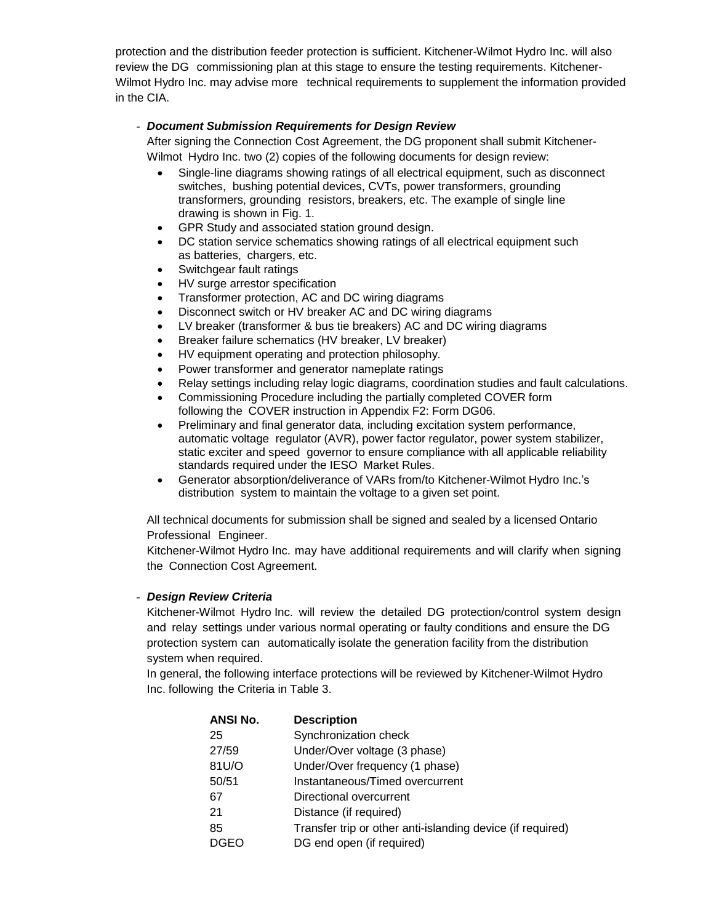protection and the distribution feeder protection is sufficient. Kitchener-Wilmot Hydro Inc. will also review the DG commissioning plan at this stage to ensure the testing requirements. Kitchener-Wilmot Hydro Inc. may advise more technical requirements to supplement the information provided in the CIA.

#### *- Document Submission Requirements for Design Review*

After signing the Connection Cost Agreement, the DG proponent shall submit Kitchener-Wilmot Hydro Inc. two (2) copies of the following documents for design review:

- Single-line diagrams showing ratings of all electrical equipment, such as disconnect switches, bushing potential devices, CVTs, power transformers, grounding transformers, grounding resistors, breakers, etc. The example of single line drawing is shown in Fig. 1.
- GPR Study and associated station ground design.
- DC station service schematics showing ratings of all electrical equipment such as batteries, chargers, etc.
- Switchgear fault ratings
- HV surge arrestor specification
- Transformer protection, AC and DC wiring diagrams
- Disconnect switch or HV breaker AC and DC wiring diagrams
- LV breaker (transformer & bus tie breakers) AC and DC wiring diagrams
- Breaker failure schematics (HV breaker, LV breaker)
- HV equipment operating and protection philosophy.
- Power transformer and generator nameplate ratings
- Relay settings including relay logic diagrams, coordination studies and fault calculations.
- Commissioning Procedure including the partially completed COVER form following the COVER instruction in Appendix F2: Form DG06.
- Preliminary and final generator data, including excitation system performance, automatic voltage regulator (AVR), power factor regulator, power system stabilizer, static exciter and speed governor to ensure compliance with all applicable reliability standards required under the IESO Market Rules.
- Generator absorption/deliverance of VARs from/to Kitchener-Wilmot Hydro Inc.'s distribution system to maintain the voltage to a given set point.

All technical documents for submission shall be signed and sealed by a licensed Ontario Professional Engineer.

Kitchener-Wilmot Hydro Inc. may have additional requirements and will clarify when signing the Connection Cost Agreement.

#### *- Design Review Criteria*

Kitchener-Wilmot Hydro Inc. will review the detailed DG protection/control system design and relay settings under various normal operating or faulty conditions and ensure the DG protection system can automatically isolate the generation facility from the distribution system when required.

In general, the following interface protections will be reviewed by Kitchener-Wilmot Hydro Inc. following the Criteria in Table 3.

| ANSI No.    | <b>Description</b>                                         |
|-------------|------------------------------------------------------------|
| 25          | Synchronization check                                      |
| 27/59       | Under/Over voltage (3 phase)                               |
| 81U/O       | Under/Over frequency (1 phase)                             |
| 50/51       | Instantaneous/Timed overcurrent                            |
| 67          | Directional overcurrent                                    |
| 21          | Distance (if required)                                     |
| 85          | Transfer trip or other anti-islanding device (if required) |
| <b>DGEO</b> | DG end open (if required)                                  |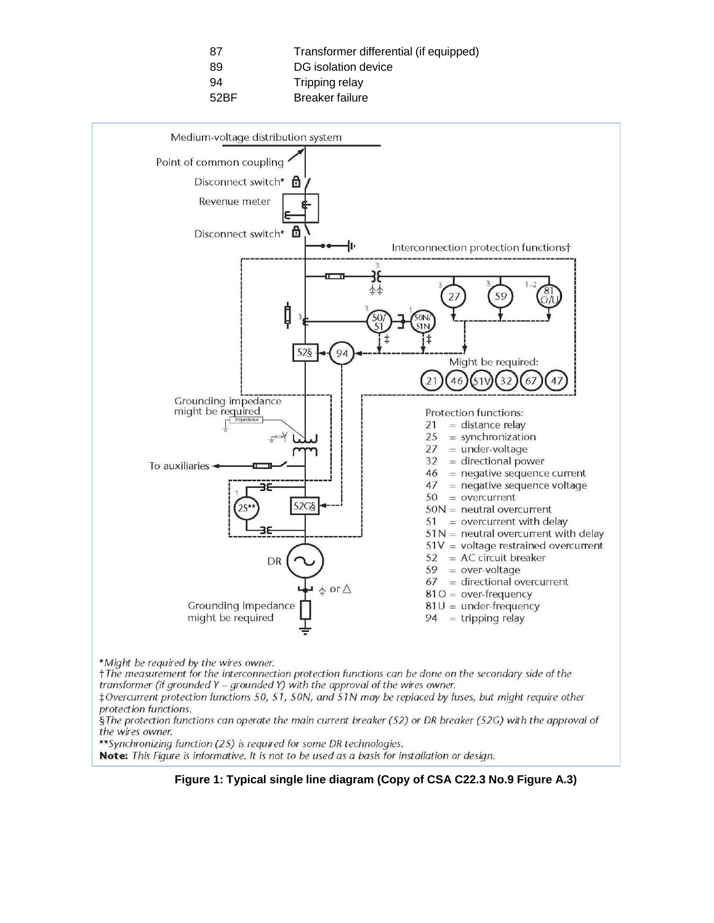| -87  | Transformer differential (if equipped) |
|------|----------------------------------------|
| 89   | DG isolation device                    |
| 94   | Tripping relay                         |
| 52BF | Breaker failure                        |



transformer (if grounded Y - grounded Y) with the approval of the wires owner.

‡Overcurrent protection functions 50, 51, 50N, and 51N may be replaced by fuses, but might require other protection functions.

§The protection functions can operate the main current breaker (52) or DR breaker (52G) with the approval of the wires owner.

\*\* Synchronizing function (25) is required for some DR technologies.

Note: This Figure is informative. It is not to be used as a basis for installation or design.

**Figure 1: Typical single line diagram (Copy of CSA C22.3 No.9 Figure A.3)**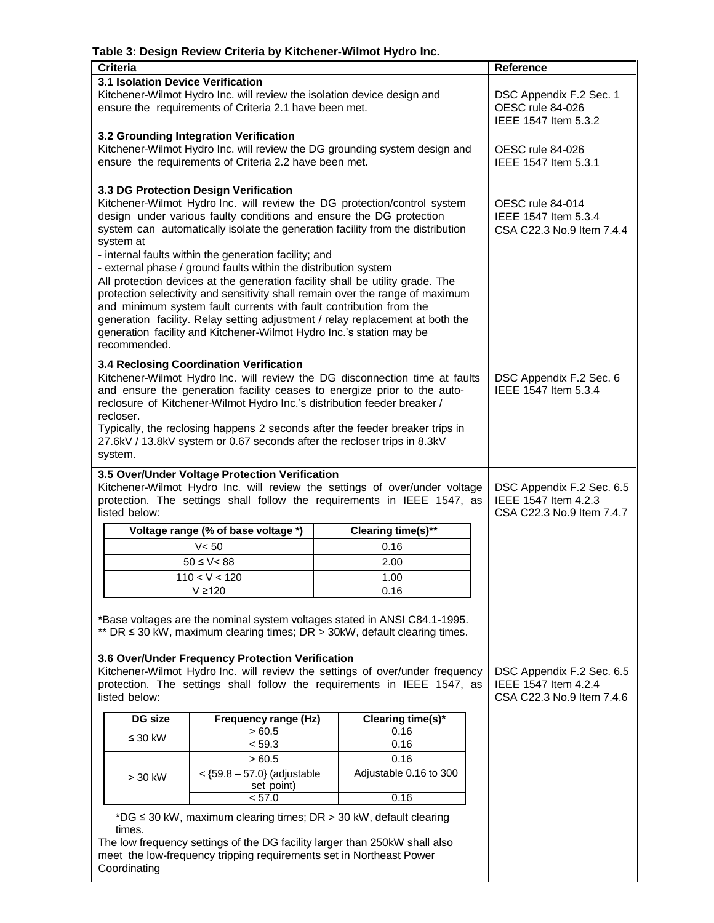### **Table 3: Design Review Criteria by Kitchener-Wilmot Hydro Inc.**

| <b>Criteria</b>                                                                                                                                                                                                                                                                                                                                                                                                                                                                                                                                                                                                                                                                                                                                                                                                                      |                                                                                                                                                                                                         |  |                                                                            | Reference                                                                      |
|--------------------------------------------------------------------------------------------------------------------------------------------------------------------------------------------------------------------------------------------------------------------------------------------------------------------------------------------------------------------------------------------------------------------------------------------------------------------------------------------------------------------------------------------------------------------------------------------------------------------------------------------------------------------------------------------------------------------------------------------------------------------------------------------------------------------------------------|---------------------------------------------------------------------------------------------------------------------------------------------------------------------------------------------------------|--|----------------------------------------------------------------------------|--------------------------------------------------------------------------------|
| <b>3.1 Isolation Device Verification</b><br>Kitchener-Wilmot Hydro Inc. will review the isolation device design and<br>ensure the requirements of Criteria 2.1 have been met.                                                                                                                                                                                                                                                                                                                                                                                                                                                                                                                                                                                                                                                        | DSC Appendix F.2 Sec. 1<br>OESC rule 84-026<br>IEEE 1547 Item 5.3.2                                                                                                                                     |  |                                                                            |                                                                                |
|                                                                                                                                                                                                                                                                                                                                                                                                                                                                                                                                                                                                                                                                                                                                                                                                                                      | 3.2 Grounding Integration Verification<br>ensure the requirements of Criteria 2.2 have been met.                                                                                                        |  | Kitchener-Wilmot Hydro Inc. will review the DG grounding system design and | OESC rule 84-026<br>IEEE 1547 Item 5.3.1                                       |
| 3.3 DG Protection Design Verification<br>Kitchener-Wilmot Hydro Inc. will review the DG protection/control system<br>design under various faulty conditions and ensure the DG protection<br>system can automatically isolate the generation facility from the distribution<br>system at<br>- internal faults within the generation facility; and<br>- external phase / ground faults within the distribution system<br>All protection devices at the generation facility shall be utility grade. The<br>protection selectivity and sensitivity shall remain over the range of maximum<br>and minimum system fault currents with fault contribution from the<br>generation facility. Relay setting adjustment / relay replacement at both the<br>generation facility and Kitchener-Wilmot Hydro Inc.'s station may be<br>recommended. | OESC rule 84-014<br>IEEE 1547 Item 5.3.4<br>CSA C22.3 No.9 Item 7.4.4                                                                                                                                   |  |                                                                            |                                                                                |
| 3.4 Reclosing Coordination Verification<br>Kitchener-Wilmot Hydro Inc. will review the DG disconnection time at faults<br>and ensure the generation facility ceases to energize prior to the auto-<br>reclosure of Kitchener-Wilmot Hydro Inc.'s distribution feeder breaker /<br>recloser.<br>Typically, the reclosing happens 2 seconds after the feeder breaker trips in<br>27.6kV / 13.8kV system or 0.67 seconds after the recloser trips in 8.3kV<br>system.                                                                                                                                                                                                                                                                                                                                                                   | DSC Appendix F.2 Sec. 6<br>IEEE 1547 Item 5.3.4                                                                                                                                                         |  |                                                                            |                                                                                |
| listed below:                                                                                                                                                                                                                                                                                                                                                                                                                                                                                                                                                                                                                                                                                                                                                                                                                        | 3.5 Over/Under Voltage Protection Verification<br>Kitchener-Wilmot Hydro Inc. will review the settings of over/under voltage<br>protection. The settings shall follow the requirements in IEEE 1547, as |  |                                                                            |                                                                                |
|                                                                                                                                                                                                                                                                                                                                                                                                                                                                                                                                                                                                                                                                                                                                                                                                                                      | Voltage range (% of base voltage *)                                                                                                                                                                     |  | Clearing time(s)**                                                         |                                                                                |
|                                                                                                                                                                                                                                                                                                                                                                                                                                                                                                                                                                                                                                                                                                                                                                                                                                      | V < 50                                                                                                                                                                                                  |  | 0.16                                                                       |                                                                                |
|                                                                                                                                                                                                                                                                                                                                                                                                                                                                                                                                                                                                                                                                                                                                                                                                                                      | $50 \le V < 88$                                                                                                                                                                                         |  | 2.00                                                                       |                                                                                |
|                                                                                                                                                                                                                                                                                                                                                                                                                                                                                                                                                                                                                                                                                                                                                                                                                                      | 110 < V < 120                                                                                                                                                                                           |  | 1.00                                                                       |                                                                                |
|                                                                                                                                                                                                                                                                                                                                                                                                                                                                                                                                                                                                                                                                                                                                                                                                                                      | $V \ge 120$                                                                                                                                                                                             |  | 0.16                                                                       |                                                                                |
| *Base voltages are the nominal system voltages stated in ANSI C84.1-1995.<br>** DR $\leq$ 30 kW, maximum clearing times; DR $>$ 30kW, default clearing times.                                                                                                                                                                                                                                                                                                                                                                                                                                                                                                                                                                                                                                                                        |                                                                                                                                                                                                         |  |                                                                            |                                                                                |
| 3.6 Over/Under Frequency Protection Verification<br>Kitchener-Wilmot Hydro Inc. will review the settings of over/under frequency<br>protection. The settings shall follow the requirements in IEEE 1547, as<br>listed below:                                                                                                                                                                                                                                                                                                                                                                                                                                                                                                                                                                                                         |                                                                                                                                                                                                         |  |                                                                            | DSC Appendix F.2 Sec. 6.5<br>IEEE 1547 Item 4.2.4<br>CSA C22.3 No.9 Item 7.4.6 |
| DG size                                                                                                                                                                                                                                                                                                                                                                                                                                                                                                                                                                                                                                                                                                                                                                                                                              | Frequency range (Hz)<br>Clearing time(s)*                                                                                                                                                               |  |                                                                            |                                                                                |
| $\leq 30$ kW                                                                                                                                                                                                                                                                                                                                                                                                                                                                                                                                                                                                                                                                                                                                                                                                                         | >60.5                                                                                                                                                                                                   |  | 0.16                                                                       |                                                                                |
|                                                                                                                                                                                                                                                                                                                                                                                                                                                                                                                                                                                                                                                                                                                                                                                                                                      | < 59.3<br>>60.5                                                                                                                                                                                         |  | 0.16<br>0.16                                                               |                                                                                |
| $> 30$ kW                                                                                                                                                                                                                                                                                                                                                                                                                                                                                                                                                                                                                                                                                                                                                                                                                            | Adjustable 0.16 to 300<br>$<$ {59.8 - 57.0} (adjustable<br>set point)                                                                                                                                   |  |                                                                            |                                                                                |
| 0.16<br>< 57.0<br>*DG ≤ 30 kW, maximum clearing times; DR > 30 kW, default clearing<br>times.<br>The low frequency settings of the DG facility larger than 250kW shall also<br>meet the low-frequency tripping requirements set in Northeast Power<br>Coordinating                                                                                                                                                                                                                                                                                                                                                                                                                                                                                                                                                                   |                                                                                                                                                                                                         |  |                                                                            |                                                                                |
|                                                                                                                                                                                                                                                                                                                                                                                                                                                                                                                                                                                                                                                                                                                                                                                                                                      |                                                                                                                                                                                                         |  |                                                                            |                                                                                |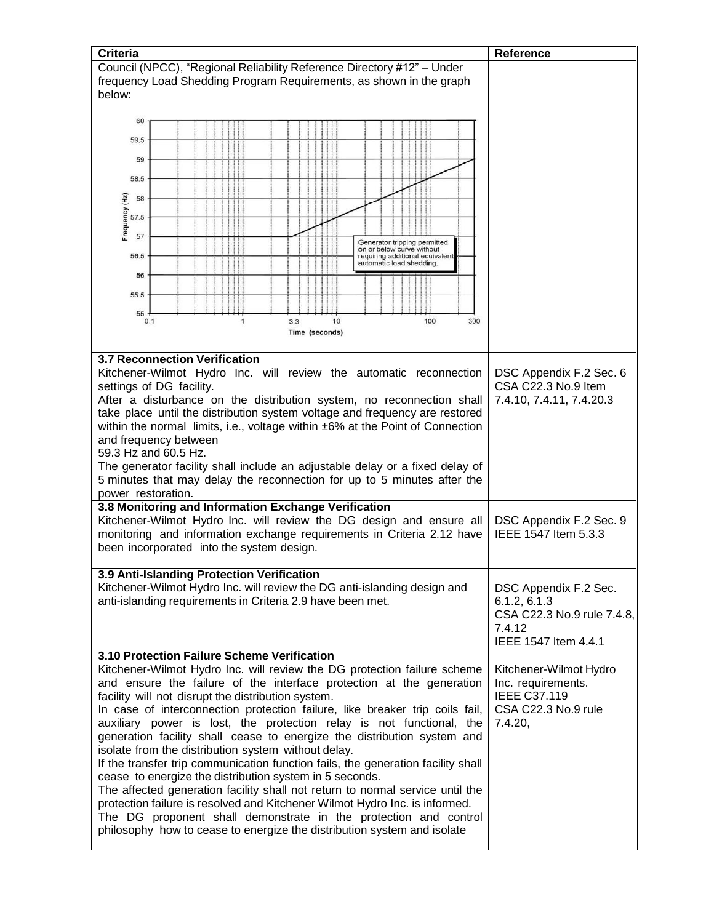| Criteria                                                                                                            | Reference                                       |
|---------------------------------------------------------------------------------------------------------------------|-------------------------------------------------|
| Council (NPCC), "Regional Reliability Reference Directory #12" - Under                                              |                                                 |
| frequency Load Shedding Program Requirements, as shown in the graph<br>below:                                       |                                                 |
|                                                                                                                     |                                                 |
| 60                                                                                                                  |                                                 |
| 59.5                                                                                                                |                                                 |
|                                                                                                                     |                                                 |
| 59                                                                                                                  |                                                 |
| 58.5                                                                                                                |                                                 |
| 58                                                                                                                  |                                                 |
| Frequency (Hz)                                                                                                      |                                                 |
| 57.5                                                                                                                |                                                 |
| 57<br>Generator tripping permitted                                                                                  |                                                 |
| on or below curve without<br>56.5<br>requiring additional equivalent                                                |                                                 |
| automatic load shedding.<br>56                                                                                      |                                                 |
|                                                                                                                     |                                                 |
| 55.5                                                                                                                |                                                 |
| 55<br>0.1<br>$\mathbf{1}$<br>10<br>100<br>300                                                                       |                                                 |
| 3.3<br>Time (seconds)                                                                                               |                                                 |
|                                                                                                                     |                                                 |
| <b>3.7 Reconnection Verification</b>                                                                                |                                                 |
| Kitchener-Wilmot Hydro Inc. will review the automatic reconnection                                                  | DSC Appendix F.2 Sec. 6                         |
| settings of DG facility.                                                                                            | CSA C22.3 No.9 Item                             |
| After a disturbance on the distribution system, no reconnection shall                                               | 7.4.10, 7.4.11, 7.4.20.3                        |
| take place until the distribution system voltage and frequency are restored                                         |                                                 |
| within the normal limits, i.e., voltage within ±6% at the Point of Connection                                       |                                                 |
| and frequency between                                                                                               |                                                 |
| 59.3 Hz and 60.5 Hz.                                                                                                |                                                 |
| The generator facility shall include an adjustable delay or a fixed delay of                                        |                                                 |
| 5 minutes that may delay the reconnection for up to 5 minutes after the                                             |                                                 |
| power restoration.                                                                                                  |                                                 |
| 3.8 Monitoring and Information Exchange Verification                                                                |                                                 |
| Kitchener-Wilmot Hydro Inc. will review the DG design and ensure all                                                | DSC Appendix F.2 Sec. 9<br>IEEE 1547 Item 5.3.3 |
| monitoring and information exchange requirements in Criteria 2.12 have<br>been incorporated into the system design. |                                                 |
|                                                                                                                     |                                                 |
| 3.9 Anti-Islanding Protection Verification                                                                          |                                                 |
| Kitchener-Wilmot Hydro Inc. will review the DG anti-islanding design and                                            | DSC Appendix F.2 Sec.                           |
| anti-islanding requirements in Criteria 2.9 have been met.                                                          | 6.1.2, 6.1.3                                    |
|                                                                                                                     | CSA C22.3 No.9 rule 7.4.8,                      |
|                                                                                                                     | 7.4.12                                          |
|                                                                                                                     | IEEE 1547 Item 4.4.1                            |
| 3.10 Protection Failure Scheme Verification                                                                         |                                                 |
| Kitchener-Wilmot Hydro Inc. will review the DG protection failure scheme                                            | Kitchener-Wilmot Hydro                          |
| and ensure the failure of the interface protection at the generation                                                | Inc. requirements.                              |
| facility will not disrupt the distribution system.                                                                  | <b>IEEE C37.119</b>                             |
| In case of interconnection protection failure, like breaker trip coils fail,                                        | CSA C22.3 No.9 rule                             |
| auxiliary power is lost, the protection relay is not functional, the                                                | 7.4.20,                                         |
| generation facility shall cease to energize the distribution system and                                             |                                                 |
| isolate from the distribution system without delay.                                                                 |                                                 |
| If the transfer trip communication function fails, the generation facility shall                                    |                                                 |
| cease to energize the distribution system in 5 seconds.                                                             |                                                 |
| The affected generation facility shall not return to normal service until the                                       |                                                 |
| protection failure is resolved and Kitchener Wilmot Hydro Inc. is informed.                                         |                                                 |
| The DG proponent shall demonstrate in the protection and control                                                    |                                                 |
| philosophy how to cease to energize the distribution system and isolate                                             |                                                 |
|                                                                                                                     |                                                 |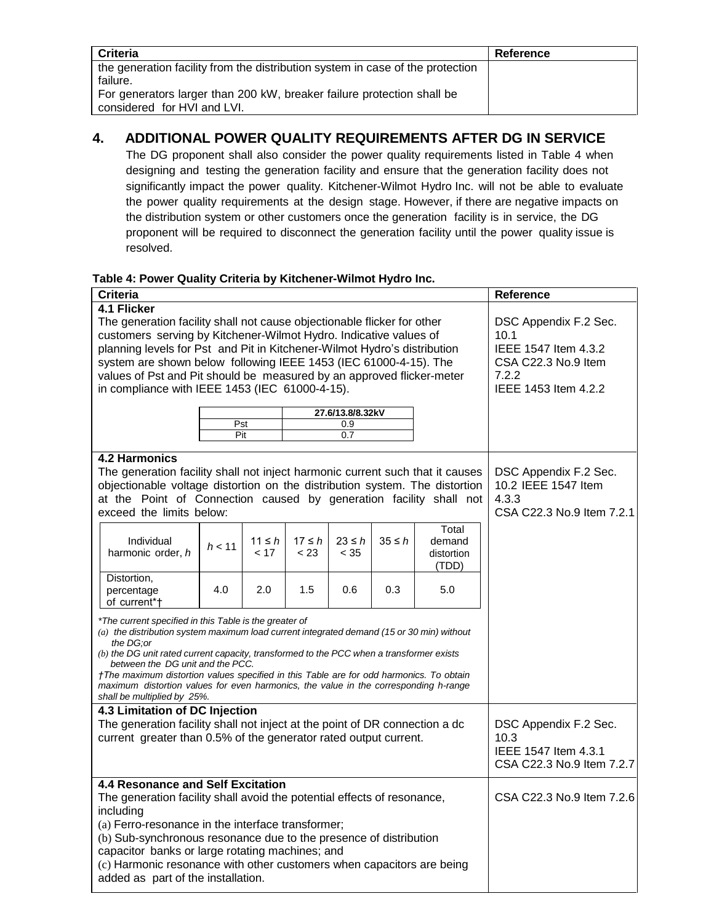| <b>Criteria</b>                                                                                                                                                                                     | Reference |
|-----------------------------------------------------------------------------------------------------------------------------------------------------------------------------------------------------|-----------|
| the generation facility from the distribution system in case of the protection<br>failure.<br>For generators larger than 200 kW, breaker failure protection shall be<br>considered for HVI and LVI. |           |

## **4. ADDITIONAL POWER QUALITY REQUIREMENTS AFTER DG IN SERVICE**

The DG proponent shall also consider the power quality requirements listed in Table 4 when designing and testing the generation facility and ensure that the generation facility does not significantly impact the power quality. Kitchener-Wilmot Hydro Inc. will not be able to evaluate the power quality requirements at the design stage. However, if there are negative impacts on the distribution system or other customers once the generation facility is in service, the DG proponent will be required to disconnect the generation facility until the power quality issue is resolved.

### **Table 4: Power Quality Criteria by Kitchener-Wilmot Hydro Inc.**

| <b>Criteria</b>                                                                                                                                                                 |                       |             |             |             |             |                           | <b>Reference</b>          |
|---------------------------------------------------------------------------------------------------------------------------------------------------------------------------------|-----------------------|-------------|-------------|-------------|-------------|---------------------------|---------------------------|
| 4.1 Flicker                                                                                                                                                                     |                       |             |             |             |             |                           |                           |
| The generation facility shall not cause objectionable flicker for other                                                                                                         | DSC Appendix F.2 Sec. |             |             |             |             |                           |                           |
| customers serving by Kitchener-Wilmot Hydro. Indicative values of                                                                                                               |                       |             |             |             |             |                           | 10.1                      |
| planning levels for Pst and Pit in Kitchener-Wilmot Hydro's distribution                                                                                                        |                       |             |             |             |             |                           | IEEE 1547 Item 4.3.2      |
| system are shown below following IEEE 1453 (IEC 61000-4-15). The                                                                                                                |                       |             |             |             |             |                           | CSA C22.3 No.9 Item       |
| values of Pst and Pit should be measured by an approved flicker-meter                                                                                                           |                       |             |             |             |             |                           | 7.2.2                     |
| in compliance with IEEE 1453 (IEC 61000-4-15).                                                                                                                                  |                       |             |             |             |             |                           | IEEE 1453 Item 4.2.2      |
|                                                                                                                                                                                 | 27.6/13.8/8.32kV      |             |             |             |             |                           |                           |
|                                                                                                                                                                                 |                       | Pst<br>0.9  |             |             |             |                           |                           |
|                                                                                                                                                                                 | Pit                   |             |             | 0.7         |             |                           |                           |
| <b>4.2 Harmonics</b>                                                                                                                                                            |                       |             |             |             |             |                           |                           |
| The generation facility shall not inject harmonic current such that it causes                                                                                                   |                       |             |             |             |             | DSC Appendix F.2 Sec.     |                           |
| objectionable voltage distortion on the distribution system. The distortion                                                                                                     |                       |             |             |             |             |                           | 10.2 IEEE 1547 Item       |
| at the Point of Connection caused by generation facility shall not                                                                                                              |                       |             |             |             |             |                           | 4.3.3                     |
| exceed the limits below:                                                                                                                                                        |                       |             |             |             |             | CSA C22.3 No.9 Item 7.2.1 |                           |
|                                                                                                                                                                                 |                       |             |             |             |             | Total                     |                           |
| Individual                                                                                                                                                                      |                       | $11 \leq h$ | $17 \leq h$ | $23 \leq h$ | $35 \leq h$ | demand                    |                           |
| harmonic order, h                                                                                                                                                               | h < 11                | < 17        | < 23        | < 35        |             | distortion                |                           |
|                                                                                                                                                                                 |                       |             |             |             |             | (TDD)                     |                           |
| Distortion,                                                                                                                                                                     |                       |             |             |             |             |                           |                           |
| percentage<br>of current*†                                                                                                                                                      | 4.0                   | 2.0         | 1.5         | 0.6         | 0.3         | 5.0                       |                           |
|                                                                                                                                                                                 |                       |             |             |             |             |                           |                           |
| *The current specified in this Table is the greater of<br>(a) the distribution system maximum load current integrated demand (15 or 30 min) without                             |                       |             |             |             |             |                           |                           |
| the DG:or                                                                                                                                                                       |                       |             |             |             |             |                           |                           |
| (b) the DG unit rated current capacity, transformed to the PCC when a transformer exists                                                                                        |                       |             |             |             |             |                           |                           |
| between the DG unit and the PCC.                                                                                                                                                |                       |             |             |             |             |                           |                           |
| †The maximum distortion values specified in this Table are for odd harmonics. To obtain<br>maximum distortion values for even harmonics, the value in the corresponding h-range |                       |             |             |             |             |                           |                           |
| shall be multiplied by 25%.                                                                                                                                                     |                       |             |             |             |             |                           |                           |
| 4.3 Limitation of DC Injection                                                                                                                                                  |                       |             |             |             |             |                           |                           |
| The generation facility shall not inject at the point of DR connection a dc                                                                                                     |                       |             |             |             |             |                           | DSC Appendix F.2 Sec.     |
| current greater than 0.5% of the generator rated output current.                                                                                                                |                       |             |             |             |             |                           | 10.3                      |
|                                                                                                                                                                                 |                       |             |             |             |             |                           | IEEE 1547 Item 4.3.1      |
|                                                                                                                                                                                 |                       |             |             |             |             |                           | CSA C22.3 No.9 Item 7.2.7 |
| 4.4 Resonance and Self Excitation                                                                                                                                               |                       |             |             |             |             |                           |                           |
| The generation facility shall avoid the potential effects of resonance,                                                                                                         |                       |             |             |             |             |                           | CSA C22.3 No.9 Item 7.2.6 |
| including                                                                                                                                                                       |                       |             |             |             |             |                           |                           |
| (a) Ferro-resonance in the interface transformer;                                                                                                                               |                       |             |             |             |             |                           |                           |
| (b) Sub-synchronous resonance due to the presence of distribution                                                                                                               |                       |             |             |             |             |                           |                           |
| capacitor banks or large rotating machines; and                                                                                                                                 |                       |             |             |             |             |                           |                           |
| (c) Harmonic resonance with other customers when capacitors are being                                                                                                           |                       |             |             |             |             |                           |                           |
| added as part of the installation.                                                                                                                                              |                       |             |             |             |             |                           |                           |